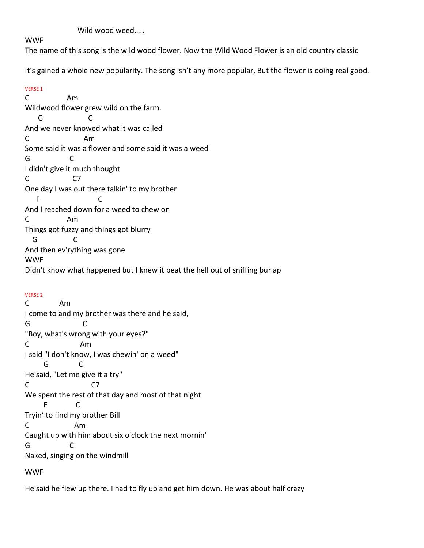Wild wood weed…..

# WWF

The name of this song is the wild wood flower. Now the Wild Wood Flower is an old country classic

It's gained a whole new popularity. The song isn't any more popular, But the flower is doing real good.

VERSE 1 C Am Wildwood flower grew wild on the farm. G C And we never knowed what it was called C Am Some said it was a flower and some said it was a weed G C I didn't give it much thought C C7 One day I was out there talkin' to my brother F C And I reached down for a weed to chew on C Am Things got fuzzy and things got blurry G C And then ev'rything was gone WWF Didn't know what happened but I knew it beat the hell out of sniffing burlap

## VERSE 2

C Am I come to and my brother was there and he said, G C "Boy, what's wrong with your eyes?" C Am I said "I don't know, I was chewin' on a weed" G C He said, "Let me give it a try" C C7 We spent the rest of that day and most of that night F C Tryin' to find my brother Bill C Am Caught up with him about six o'clock the next mornin' G C Naked, singing on the windmill

WWF

He said he flew up there. I had to fly up and get him down. He was about half crazy